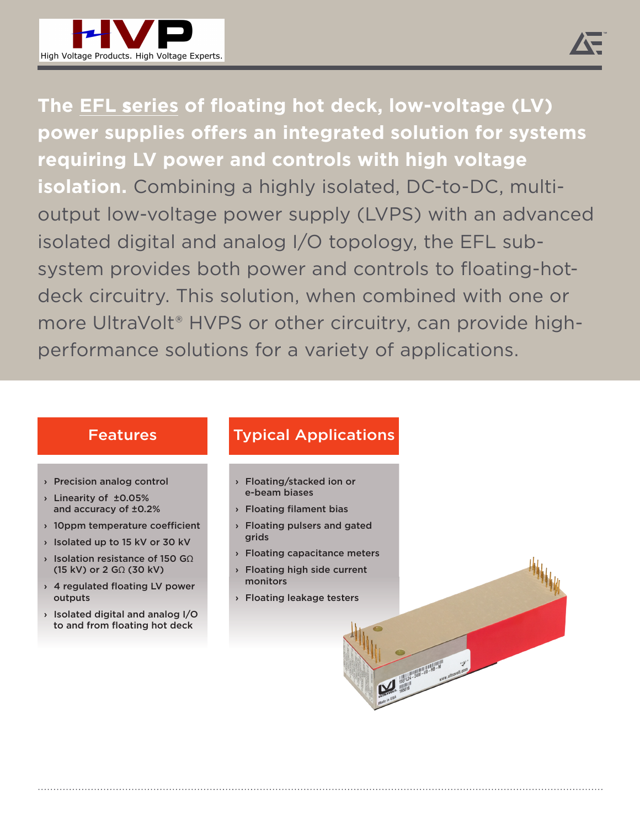

**The EFL series of floating hot deck, low-voltage (LV) power supplies offers an integrated solution for systems requiring LV power and controls with high voltage isolation.** Combining a highly isolated, DC-to-DC, multioutput low-voltage power supply (LVPS) with an advanced isolated digital and analog I/O topology, the EFL subsystem provides both power and controls to floating-hotdeck circuitry. This solution, when combined with one or more UltraVolt® HVPS or other circuitry, can provide highperformance solutions for a variety of applications.

- › Precision analog control
- › Linearity of ±0.05% and accuracy of ±0.2%
- $\rightarrow$  10ppm temperature coefficient
- › Isolated up to 15 kV or 30 kV
- › Isolation resistance of 150 GΩ (15 kV) or 2 GΩ (30 kV)
- › 4 regulated floating LV power outputs
- › Isolated digital and analog I/O to and from floating hot deck

## Features Typical Applications

- › Floating/stacked ion or e-beam biases
- › Floating filament bias
- › Floating pulsers and gated grids
- › Floating capacitance meters › Floating high side current monitors

**Marian Communication** 

› Floating leakage testers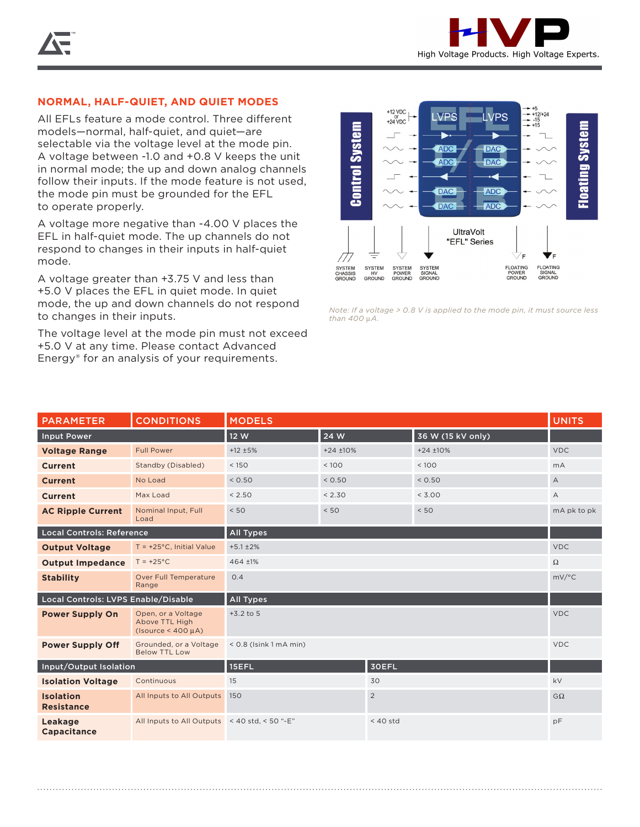## **NORMAL, HALF-QUIET, AND QUIET MODES**

All EFLs feature a mode control. Three different models—normal, half-quiet, and quiet—are selectable via the voltage level at the mode pin. A voltage between -1.0 and +0.8 V keeps the unit in normal mode; the up and down analog channels follow their inputs. If the mode feature is not used, the mode pin must be grounded for the EFL to operate properly.

A voltage more negative than -4.00 V places the EFL in half-quiet mode. The up channels do not respond to changes in their inputs in half-quiet mode.

A voltage greater than +3.75 V and less than +5.0 V places the EFL in quiet mode. In quiet mode, the up and down channels do not respond to changes in their inputs.

The voltage level at the mode pin must not exceed +5.0 V at any time. Please contact Advanced Energy® for an analysis of your requirements.



*Note: If a voltage > 0.8 V is applied to the mode pin, it must source less than 400* μ*A.*

| <b>PARAMETER</b>                      | <b>CONDITIONS</b>                                               | <b>MODELS</b>             |        |             | <b>UNITS</b>      |                |
|---------------------------------------|-----------------------------------------------------------------|---------------------------|--------|-------------|-------------------|----------------|
| <b>Input Power</b>                    |                                                                 | 12 W                      | 24 W   |             | 36 W (15 kV only) |                |
| <b>Voltage Range</b>                  | <b>Full Power</b>                                               | $+24 + 10%$<br>$+12 + 5%$ |        | $+24 + 10%$ | <b>VDC</b>        |                |
| <b>Current</b>                        | Standby (Disabled)                                              | < 150                     | < 100  |             | < 100             | mA             |
| <b>Current</b>                        | No Load                                                         | < 0.50                    | < 0.50 |             | < 0.50            | $\overline{A}$ |
| <b>Current</b>                        | Max Load                                                        | < 2.50                    | < 2.30 |             | < 3.00            | А              |
| <b>AC Ripple Current</b>              | Nominal Input, Full<br>Load                                     | < 50                      | < 50   |             | < 50              | mA pk to pk    |
| <b>Local Controls: Reference</b>      |                                                                 | All Types                 |        |             |                   |                |
| <b>Output Voltage</b>                 | $T = +25^{\circ}C$ , Initial Value                              | $+5.1 \pm 2\%$            |        |             | <b>VDC</b>        |                |
| <b>Output Impedance</b>               | $T = +25^{\circ}C$                                              | 464 ±1%                   |        |             | $\Omega$          |                |
| <b>Stability</b>                      | Over Full Temperature<br>Range                                  | 0.4                       |        |             | mV/°C             |                |
| Local Controls: LVPS Enable/Disable   |                                                                 | <b>All Types</b>          |        |             |                   |                |
| <b>Power Supply On</b>                | Open, or a Voltage<br>Above TTL High<br>$(Isource < 400 \mu A)$ | $+3.2$ to 5               |        |             | <b>VDC</b>        |                |
| <b>Power Supply Off</b>               | Grounded, or a Voltage<br><b>Below TTL Low</b>                  | $< 0.8$ (Isink 1 mA min)  |        |             | <b>VDC</b>        |                |
| Input/Output Isolation                |                                                                 | 15EFL<br><b>30EFL</b>     |        |             |                   |                |
| <b>Isolation Voltage</b>              | Continuous                                                      | 15<br>30                  |        |             | kV                |                |
| <b>Isolation</b><br><b>Resistance</b> | All Inputs to All Outputs                                       | $\overline{2}$<br>150     |        | $G\Omega$   |                   |                |
| Leakage<br><b>Capacitance</b>         | All Inputs to All Outputs < 40 std, < 50 "-E"                   | $<$ 40 std                |        | pF          |                   |                |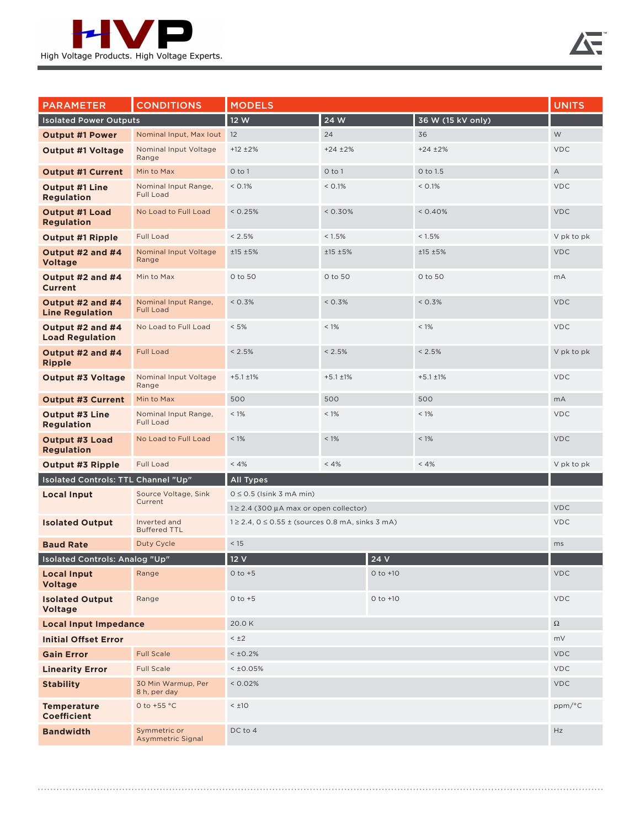

| <b>PARAMETER</b>                           | <b>CONDITIONS</b>                        | <b>MODELS</b>                                                               |                |                   | <b>UNITS</b>   |             |
|--------------------------------------------|------------------------------------------|-----------------------------------------------------------------------------|----------------|-------------------|----------------|-------------|
| <b>Isolated Power Outputs</b>              |                                          | 12 W<br>24 W                                                                |                | 36 W (15 kV only) |                |             |
| <b>Output #1 Power</b>                     | Nominal Input, Max Iout 12               |                                                                             | 24             |                   | 36             | W           |
| <b>Output #1 Voltage</b>                   | Nominal Input Voltage<br>Range           | $+12 \pm 2\%$                                                               | $+24 \pm 2\%$  |                   | $+24 \pm 2\%$  | <b>VDC</b>  |
| <b>Output #1 Current</b>                   | Min to Max                               | O to 1                                                                      | $0$ to $1$     |                   | 0 to 1.5       | $\mathsf A$ |
| <b>Output #1 Line</b><br><b>Regulation</b> | Nominal Input Range,<br><b>Full Load</b> | < 0.1%                                                                      | < 0.1%         |                   | < 0.1%         | <b>VDC</b>  |
| <b>Output #1 Load</b><br><b>Regulation</b> | No Load to Full Load                     | < 0.25%                                                                     | $< 0.30\%$     |                   | < 0.40%        | <b>VDC</b>  |
| <b>Output #1 Ripple</b>                    | <b>Full Load</b>                         | < 2.5%                                                                      | < 1.5%         |                   | < 1.5%         | V pk to pk  |
| Output #2 and #4<br><b>Voltage</b>         | Nominal Input Voltage<br>Range           | ±15 ±5%                                                                     | ±15±5%         |                   | ±15±5%         | <b>VDC</b>  |
| Output #2 and #4<br><b>Current</b>         | Min to Max                               | 0 to 50                                                                     | 0 to 50        |                   | 0 to 50        | mA          |
| Output #2 and #4<br><b>Line Regulation</b> | Nominal Input Range,<br><b>Full Load</b> | < 0.3%                                                                      | < 0.3%         |                   | < 0.3%         | <b>VDC</b>  |
| Output #2 and #4<br><b>Load Regulation</b> | No Load to Full Load                     | $< 5\%$                                                                     | $< 1\%$        |                   | $< 1\%$        | <b>VDC</b>  |
| Output #2 and #4<br><b>Ripple</b>          | <b>Full Load</b>                         | $< 2.5\%$                                                                   | < 2.5%         |                   | < 2.5%         | V pk to pk  |
| <b>Output #3 Voltage</b>                   | Nominal Input Voltage<br>Range           | $+5.1 \pm 1\%$                                                              | $+5.1 \pm 1\%$ |                   | $+5.1 \pm 1\%$ | <b>VDC</b>  |
| <b>Output #3 Current</b>                   | Min to Max                               | 500                                                                         | 500            |                   | 500            | mA          |
| <b>Output #3 Line</b><br><b>Regulation</b> | Nominal Input Range,<br><b>Full Load</b> | $< 1\%$                                                                     | $< 1\%$        |                   | $< 1\%$        | <b>VDC</b>  |
| <b>Output #3 Load</b><br><b>Regulation</b> | No Load to Full Load                     | $< 1\%$                                                                     | $< 1\%$        |                   | $< 1\%$        | <b>VDC</b>  |
| <b>Output #3 Ripple</b>                    | <b>Full Load</b>                         | < 4%                                                                        | < 4%           |                   | < 4%           | V pk to pk  |
| Isolated Controls: TTL Channel "Up"        |                                          | All Types                                                                   |                |                   |                |             |
| <b>Local Input</b>                         | Source Voltage, Sink<br>Current          | $0 \le 0.5$ (Isink 3 mA min)<br>$1 \geq 2.4$ (300 µA max or open collector) |                |                   |                |             |
|                                            |                                          |                                                                             |                |                   |                | <b>VDC</b>  |
| <b>Isolated Output</b>                     | Inverted and<br><b>Buffered TTL</b>      | $1 \ge 2.4$ , $0 \le 0.55 \pm$ (sources 0.8 mA, sinks 3 mA)                 |                |                   | <b>VDC</b>     |             |
| <b>Baud Rate</b>                           | Duty Cycle                               | < 15                                                                        |                |                   |                | ms          |
| <b>Isolated Controls: Analog "Up"</b>      |                                          | 24 V<br>12V                                                                 |                |                   |                |             |
| <b>Local Input</b><br><b>Voltage</b>       | Range                                    | $0$ to $+5$                                                                 |                | $0$ to $+10$      |                | <b>VDC</b>  |
| <b>Isolated Output</b><br><b>Voltage</b>   | Range                                    | $0$ to $+10$<br>$0$ to $+5$                                                 |                |                   | <b>VDC</b>     |             |
| <b>Local Input Impedance</b>               |                                          | 20.0K                                                                       |                |                   |                | $\Omega$    |
| <b>Initial Offset Error</b>                |                                          | $< \pm 2$                                                                   |                |                   |                | mV          |
| <b>Gain Error</b>                          | <b>Full Scale</b>                        | < 10.2%                                                                     |                |                   | <b>VDC</b>     |             |
| <b>Linearity Error</b>                     | <b>Full Scale</b>                        | $<$ ±0.05%                                                                  |                |                   | <b>VDC</b>     |             |
| <b>Stability</b>                           | 30 Min Warmup, Per<br>8 h, per day       | < 0.02%                                                                     |                |                   | <b>VDC</b>     |             |
| <b>Temperature</b><br><b>Coefficient</b>   | 0 to +55 $\degree$ C                     | $< \pm 10$                                                                  |                |                   | ppm/°C         |             |
| <b>Bandwidth</b>                           | Symmetric or<br><b>Asymmetric Signal</b> | DC to 4                                                                     |                |                   | Hz             |             |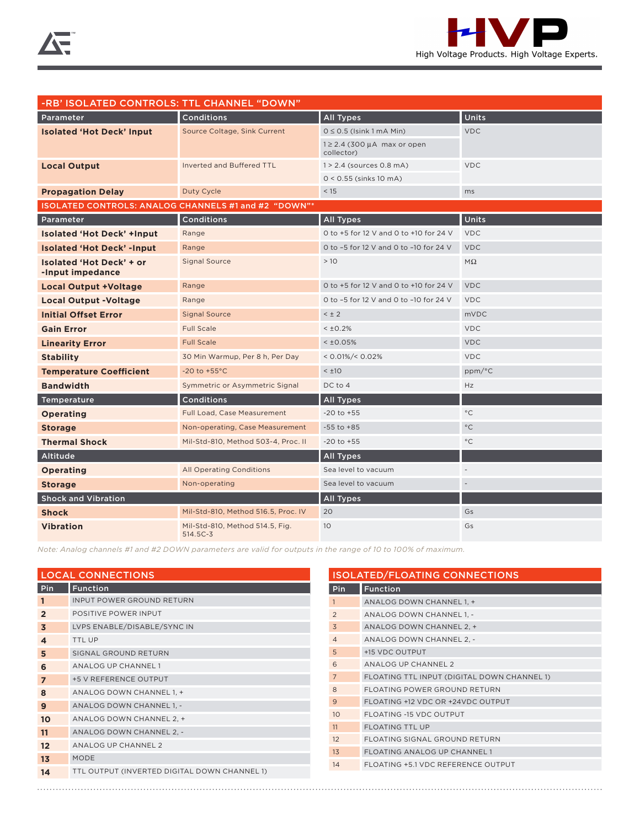

| -RB' ISOLATED CONTROLS: TTL CHANNEL "DOWN"           |                                             |                                                |                          |  |  |
|------------------------------------------------------|---------------------------------------------|------------------------------------------------|--------------------------|--|--|
| Parameter                                            | Conditions                                  | <b>All Types</b>                               | Units                    |  |  |
| <b>Isolated 'Hot Deck' Input</b>                     | Source Coltage, Sink Current                | $0 \le 0.5$ (Isink 1 mA Min)                   | <b>VDC</b>               |  |  |
|                                                      |                                             | $1 \geq 2.4$ (300 µA max or open<br>collector) |                          |  |  |
| <b>Local Output</b>                                  | Inverted and Buffered TTL                   | $1 > 2.4$ (sources 0.8 mA)                     | <b>VDC</b>               |  |  |
|                                                      |                                             | $0 < 0.55$ (sinks 10 mA)                       |                          |  |  |
| <b>Propagation Delay</b>                             | Duty Cycle                                  | < 15                                           | ms                       |  |  |
| ISOLATED CONTROLS: ANALOG CHANNELS #1 and #2 "DOWN"* |                                             |                                                |                          |  |  |
| Parameter                                            | Conditions                                  | <b>All Types</b>                               | <b>Units</b>             |  |  |
| <b>Isolated 'Hot Deck' +Input</b>                    | Range                                       | 0 to +5 for 12 V and 0 to +10 for 24 V         | <b>VDC</b>               |  |  |
| <b>Isolated 'Hot Deck' -Input</b>                    | Range                                       | 0 to -5 for 12 V and 0 to -10 for 24 V         | <b>VDC</b>               |  |  |
| Isolated 'Hot Deck' + or<br>-Input impedance         | <b>Signal Source</b>                        | >10                                            | $M\Omega$                |  |  |
| <b>Local Output +Voltage</b>                         | Range                                       | 0 to +5 for 12 V and 0 to +10 for 24 V         | <b>VDC</b>               |  |  |
| <b>Local Output -Voltage</b>                         | Range                                       | 0 to -5 for 12 V and 0 to -10 for 24 V         | <b>VDC</b>               |  |  |
| <b>Initial Offset Error</b>                          | <b>Signal Source</b>                        | $< \pm 2$                                      | <b>mVDC</b>              |  |  |
| <b>Gain Error</b>                                    | <b>Full Scale</b>                           | $< 10.2\%$                                     | <b>VDC</b>               |  |  |
| <b>Linearity Error</b>                               | <b>Full Scale</b>                           | < 10.05%                                       | <b>VDC</b>               |  |  |
| <b>Stability</b>                                     | 30 Min Warmup, Per 8 h, Per Day             | $< 0.01\%/ < 0.02\%$                           | <b>VDC</b>               |  |  |
| <b>Temperature Coefficient</b>                       | -20 to $+55^{\circ}$ C                      | $< \pm 10$                                     | ppm/°C                   |  |  |
| <b>Bandwidth</b>                                     | Symmetric or Asymmetric Signal              | DC to 4                                        | Hz                       |  |  |
| Temperature                                          | <b>Conditions</b>                           | <b>All Types</b>                               |                          |  |  |
| <b>Operating</b>                                     | Full Load, Case Measurement                 | $-20$ to $+55$                                 | $^{\circ}$ C             |  |  |
| <b>Storage</b>                                       | Non-operating, Case Measurement             | $-55$ to $+85$                                 | $^{\circ}$ C             |  |  |
| <b>Thermal Shock</b>                                 | Mil-Std-810, Method 503-4, Proc. II         | $-20$ to $+55$                                 | $^{\circ}$ C             |  |  |
| Altitude                                             |                                             | <b>All Types</b>                               |                          |  |  |
| <b>Operating</b>                                     | <b>All Operating Conditions</b>             | Sea level to vacuum                            | $\overline{\phantom{a}}$ |  |  |
| <b>Storage</b>                                       | Non-operating                               | Sea level to vacuum                            | $\overline{a}$           |  |  |
| <b>Shock and Vibration</b>                           |                                             | <b>All Types</b>                               |                          |  |  |
| <b>Shock</b>                                         | Mil-Std-810, Method 516.5, Proc. IV         | 20                                             | Gs                       |  |  |
| <b>Vibration</b>                                     | Mil-Std-810, Method 514.5, Fig.<br>514.5C-3 | 10                                             | Gs                       |  |  |

*Note: Analog channels #1 and #2 DOWN parameters are valid for outputs in the range of 10 to 100% of maximum.*

| <b>LOCAL CONNECTIONS</b> |                                              |  |  |  |
|--------------------------|----------------------------------------------|--|--|--|
| Pin                      | <b>Function</b>                              |  |  |  |
| 1                        | <b>INPUT POWER GROUND RETURN</b>             |  |  |  |
| $\overline{2}$           | POSITIVE POWER INPUT                         |  |  |  |
| 3                        | LVPS ENABLE/DISABLE/SYNC IN                  |  |  |  |
| $\boldsymbol{4}$         | <b>TTL UP</b>                                |  |  |  |
| 5                        | SIGNAL GROUND RETURN                         |  |  |  |
| 6                        | <b>ANALOG UP CHANNEL 1</b>                   |  |  |  |
| $\overline{7}$           | +5 V REFERENCE OUTPUT                        |  |  |  |
| 8                        | ANALOG DOWN CHANNEL 1, +                     |  |  |  |
| 9                        | ANALOG DOWN CHANNEL 1, -                     |  |  |  |
| 10                       | ANALOG DOWN CHANNEL 2, +                     |  |  |  |
| 11                       | ANALOG DOWN CHANNEL 2, -                     |  |  |  |
| 12                       | ANALOG UP CHANNEL 2                          |  |  |  |
| 13                       | MODE                                         |  |  |  |
| 14                       | TTL OUTPUT (INVERTED DIGITAL DOWN CHANNEL 1) |  |  |  |

| <b>ISOLATED/FLOATING CONNECTIONS</b> |                                             |  |  |  |
|--------------------------------------|---------------------------------------------|--|--|--|
| Pin                                  | <b>Function</b>                             |  |  |  |
| $\mathbf{1}$                         | ANALOG DOWN CHANNEL 1, +                    |  |  |  |
| 2                                    | ANALOG DOWN CHANNEL 1, -                    |  |  |  |
| $\overline{5}$                       | ANALOG DOWN CHANNEL 2, +                    |  |  |  |
| $\overline{4}$                       | ANALOG DOWN CHANNEL 2, -                    |  |  |  |
| 5                                    | +15 VDC OUTPUT                              |  |  |  |
| 6                                    | ANALOG UP CHANNEL 2                         |  |  |  |
| $7\overline{ }$                      | FLOATING TTL INPUT (DIGITAL DOWN CHANNEL 1) |  |  |  |
| 8                                    | FLOATING POWER GROUND RETURN                |  |  |  |
| 9                                    | FLOATING +12 VDC OR +24VDC OUTPUT           |  |  |  |
| 10                                   | FLOATING -15 VDC OUTPUT                     |  |  |  |
| 11                                   | <b>FLOATING TTL UP</b>                      |  |  |  |
| 12                                   | FLOATING SIGNAL GROUND RETURN               |  |  |  |
| 1 <sub>3</sub>                       | <b>FLOATING ANALOG UP CHANNEL 1</b>         |  |  |  |
| 14                                   | FLOATING +5.1 VDC REFERENCE OUTPUT          |  |  |  |